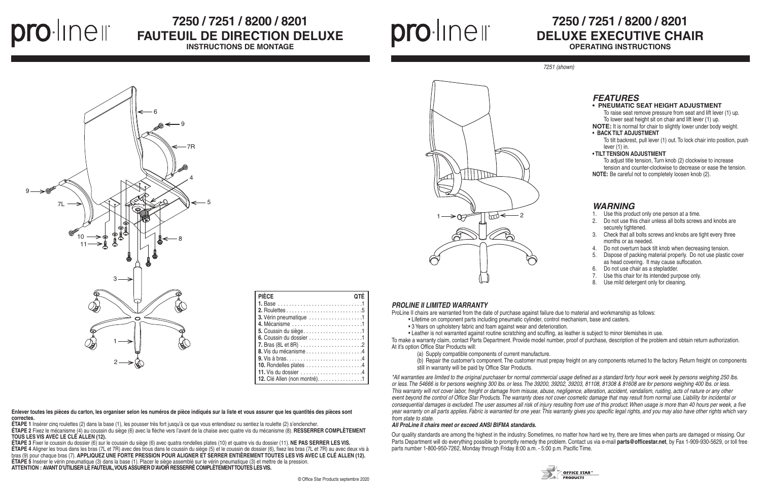## **7250 / 7251 / 8200 / 8201 DELUXE EXECUTIVE CHAIR OPERATING INSTRUCTIONS**

#### *PROLINE II LIMITED WARRANTY*

ProLine II chairs are warranted from the date of purchase against failure due to material and workmanship as follows:

- Lifetime on component parts including pneumatic cylinder, control mechanism, base and casters.
- 3 Years on upholstery fabric and foam against wear and deterioration.

• Leather is not warranted against routine scratching and scuffing, as leather is subject to minor blemishes in use. To make a warranty claim, contact Parts Department. Provide model number, proof of purchase, description of the problem and obtain return authorization. At it's option Office Star Products will:

- (a) Supply compatible components of current manufacture.
- 
- still in warranty will be paid by Office Star Products.

(b) Repair the customer's component. The customer must prepay freight on any components returned to the factory. Return freight on components



*\*All warranties are limited to the original purchaser for normal commercial usage defined as a standard forty hour work week by persons weighing 250 lbs. or less. The 54666 is for persons weighing 300 lbs. or less. The 39200, 39202, 39203, 81108, 81308 & 81608 are for persons weighing 400 lbs. or less. This warranty will not cover labor, freight or damage from misuse, abuse, negligence, alteration, accident, vandalism, rusting, acts of nature or any other event beyond the control of Office Star Products. The warranty does not cover cosmetic damage that may result from normal use. Liability for incidental or consequential damages is excluded. The user assumes all risk of injury resulting from use of this product. When usage is more than 40 hours per week, a five year warranty on all parts applies. Fabric is warranted for one year. This warranty gives you specific legal rights, and you may also have other rights which vary from state to state.*

#### *All ProLine II chairs meet or exceed ANSI BIFMA standards.*

Our quality standards are among the highest in the industry. Sometimes, no matter how hard we try, there are times when parts are damaged or missing. Our Parts Department will do everything possible to promptly remedy the problem. Contact us via e-mail **parts@officestar.net**, by Fax 1-909-930-5629, or toll free parts number 1-800-950-7262, Monday through Friday 8:00 a.m. - 5:00 p.m. Pacific Time.



## *WARNING*

- 1. Use this product only one person at a time.
- 2. Do not use this chair unless all bolts screws and knobs are securely tightened.
- 3. Check that all bolts screws and knobs are tight every three months or as needed.
- 4. Do not overturn back tilt knob when decreasing tension.
- 5. Dispose of packing material properly. Do not use plastic cover as head covering. It may cause suffocation.
- 6. Do not use chair as a stepladder.
- 7. Use this chair for its intended purpose only.
- 8. Use mild detergent only for cleaning.

*7251 (shown)*



### **• PNEUMATIC SEAT HEIGHT ADJUSTMENT**

To raise seat remove pressure from seat and lift lever (1) up. To lower seat height sit on chair and lift lever (1) up.

**NOTE:** It is normal for chair to slightly lower under body weight. **• BACK TILT ADJUSTMENT**

To tilt backrest, pull lever (1) out. To lock chair into position, push lever (1) in.

#### **• TILT TENSION ADJUSTMENT**

To adjust title tension, Turn knob (2) clockwise to increase tension and counter-clockwise to decrease or ease the tension. **NOTE:** Be careful not to completely loosen knob (2).

prolinell

# **7250 / 7251 / 8200 / 8201 FAUTEUIL DE DIRECTION DELUXE**

**INSTRUCTIONS DE MONTAGE**



| <b>PIÈCE</b>                                          | ΛTĖ |
|-------------------------------------------------------|-----|
|                                                       |     |
|                                                       |     |
| 3. Vérin pneumatique 1                                |     |
|                                                       |     |
|                                                       |     |
| 6. Coussin du dossier $\dots \dots \dots \dots \dots$ |     |
|                                                       |     |
|                                                       |     |
|                                                       |     |
|                                                       |     |
|                                                       |     |
| 12. Clé Allen (non montré). 1                         |     |



**Enlever toutes les pièces du carton, les organiser selon les numéros de pièce indiqués sur la liste et vous assurer que les quantités des pièces sont correctes.**

**ÉTAPE 1** Insérer cinq roulettes (2) dans la base (1), les pousser très fort jusqu'à ce que vous entendisez ou sentiez la roulette (2) s'enclencher.

**ÉTAPE 2** Fixez le mécanisme (4) au coussin du siège (6) avec la flèche vers l'avant de la chaise avec quatre vis du mécanisme (8). **RESSERRER COMPLÈTEMENT TOUS LES VIS AVEC LE CLÉ ALLEN (12).**

**ÉTAPE 3** Fixer le coussin du dossier (6) sur le coussin du siège (6) avec quatra rondelles plates (10) et quatre vis du dossier (11). **NE PAS SERRER LES VIS. ÉTAPE 4** Aligner les trous dans les bras (7L et 7R) avec des trous dans le coussin du siège (5) et le coussin de dossier (6), fixez les bras (7L et 7R) au avec deux vis à bras (9) pour chaque bras (7). **APPLIQUEZ UNE FORTE PRESSION POUR ALIGNER ET SERRER ENTIÈREMENT TOUTES LES VIS AVEC LE CLÉ ALLEN (12). ÉTAPE 5** Insérer le vérin pneumatique (3) dans la base (1). Placer le siège assemblé sur le vérin pneumatique (3) et mettre de la pression. **ATTENTION : AVANT D'UTILISER LE FAUTEUIL, VOUS ASSURER D'AVOIR RESSERRÉ COMPLÈTEMENT TOUTES LES VIS.**